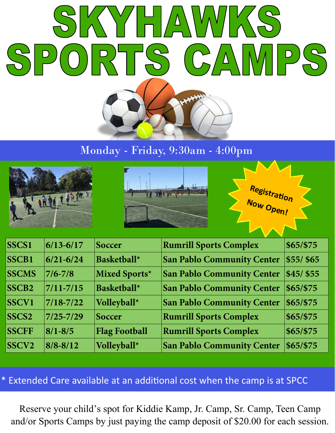

# Monday - Friday, 9:30am - 4:00pm







| SSCS1             | $6/13 - 6/17$ | <b>Soccer</b>        | <b>Rumrill Sports Complex</b>     | \$65/\$75   |
|-------------------|---------------|----------------------|-----------------------------------|-------------|
| <b>SSCB1</b>      | $6/21 - 6/24$ | <b>Basketball*</b>   | <b>San Pablo Community Center</b> | $$55/$ \$65 |
| <b>SSCMS</b>      | $7/6 - 7/8$   | Mixed Sports*        | <b>San Pablo Community Center</b> | $$45/$ \$55 |
| SSCB <sub>2</sub> | $7/11 - 7/15$ | <b>Basketball*</b>   | <b>San Pablo Community Center</b> | $$65/$ \$75 |
| <b>SSCV1</b>      | $7/18 - 7/22$ | Volleyball*          | <b>San Pablo Community Center</b> | $$65/$ \$75 |
| SSCS <sub>2</sub> | $7/25 - 7/29$ | <b>Soccer</b>        | <b>Rumrill Sports Complex</b>     | \$65/\$75   |
| <b>SSCFF</b>      | $8/1 - 8/5$   | <b>Flag Football</b> | <b>Rumrill Sports Complex</b>     | \$65/\$75   |
| SSCV <sub>2</sub> | $8/8 - 8/12$  | Volleyball*          | <b>San Pablo Community Center</b> | $$65/$ \$75 |

## \* Extended Care available at an additional cost when the camp is at SPCC

Reserve your child's spot for Kiddie Kamp, Jr. Camp, Sr. Camp, Teen Camp and/or Sports Camps by just paying the camp deposit of \$20.00 for each session.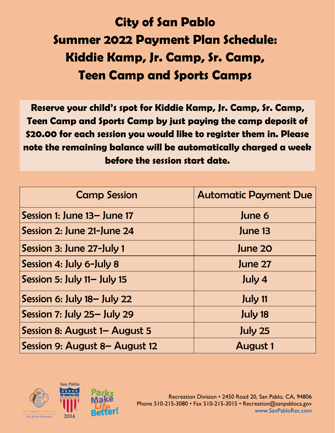# **City of San Pablo Summer 2022 Payment Plan Schedule: Kiddie Kamp, Jr. Camp, Sr. Camp, Teen Camp and Sports Camps**

**Reserve your child's spot for Kiddie Kamp, Jr. Camp, Sr. Camp, Teen Camp and Sports Camp by just paying the camp deposit of \$20.00 for each session you would like to register them in. Please note the remaining balance will be automatically charged a week before the session start date.**

| <b>Camp Session</b>            | <b>Automatic Payment Due</b> |
|--------------------------------|------------------------------|
| Session 1: June 13- June 17    | June 6                       |
| Session 2: June 21-June 24     | June 13                      |
| Session 3: June 27-July 1      | June 20                      |
| Session 4: July 6-July 8       | June 27                      |
| Session 5: July $11 -$ July 15 | July 4                       |
| Session 6: July 18– July 22    | July 11                      |
| Session 7: July 25- July 29    | July 18                      |
| Session 8: August 1– August 5  | July 25                      |
| Session 9: August 8– August 12 | <b>August 1</b>              |

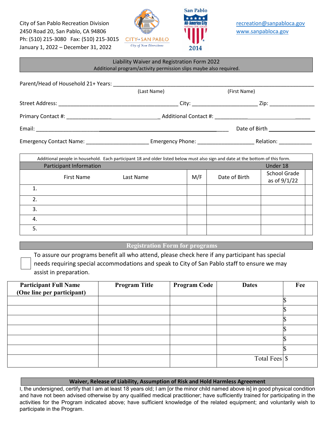City of San Pablo Recreation Division **Records Recreation Recreation recreation recreation recreation recreation recreation recreation recreation recreation recreation recreation recreation resp** 2450 Road 20, San Pablo, CA 94806 **WELL SERVICE SERVICE SERVICE STATE** WWW.sanpabloca.gov Ph: (510) 215-3080 Fax: (510) 215-3015 January 1, 2022 – December 31, 2022





| Liability Waiver and Registration Form 2022<br>Additional program/activity permission slips maybe also required.               |             |     |               |                                                                                                                                                                                                                                |  |
|--------------------------------------------------------------------------------------------------------------------------------|-------------|-----|---------------|--------------------------------------------------------------------------------------------------------------------------------------------------------------------------------------------------------------------------------|--|
|                                                                                                                                |             |     |               |                                                                                                                                                                                                                                |  |
|                                                                                                                                | (Last Name) |     | (First Name)  |                                                                                                                                                                                                                                |  |
|                                                                                                                                |             |     |               |                                                                                                                                                                                                                                |  |
|                                                                                                                                |             |     |               |                                                                                                                                                                                                                                |  |
|                                                                                                                                |             |     |               |                                                                                                                                                                                                                                |  |
|                                                                                                                                |             |     |               | Emergency Contact Name: Cambridge Contact Name: Contact Name: Contact Name: Contact Name: Contact Name: Contact Name: Contact Name: Contact Name: Contact Name: Contact Name: Contact Name: Contact Name: Contact Name: Contac |  |
|                                                                                                                                |             |     |               |                                                                                                                                                                                                                                |  |
| Additional people in household. Each participant 18 and older listed below must also sign and date at the bottom of this form. |             |     |               |                                                                                                                                                                                                                                |  |
| Participant Information                                                                                                        |             |     |               | Under 18                                                                                                                                                                                                                       |  |
| First Name                                                                                                                     | Last Name   | M/F | Date of Birth | <b>School Grade</b><br>as of 9/1/22                                                                                                                                                                                            |  |
| $\mathbf{1}$ .                                                                                                                 |             |     |               |                                                                                                                                                                                                                                |  |
| 2.                                                                                                                             |             |     |               |                                                                                                                                                                                                                                |  |
| 3.                                                                                                                             |             |     |               |                                                                                                                                                                                                                                |  |
| 4.                                                                                                                             |             |     |               |                                                                                                                                                                                                                                |  |
| 5.                                                                                                                             |             |     |               |                                                                                                                                                                                                                                |  |

## **Registration Form for programs**

To assure our programs benefit all who attend, please check here if any participant has special needs requiring special accommodations and speak to City of San Pablo staff to ensure we may assist in preparation.

| <b>Participant Full Name</b><br>(One line per participant) | <b>Program Title</b> | <b>Program Code</b> | <b>Dates</b>  | Fee |
|------------------------------------------------------------|----------------------|---------------------|---------------|-----|
|                                                            |                      |                     |               |     |
|                                                            |                      |                     |               |     |
|                                                            |                      |                     |               |     |
|                                                            |                      |                     |               |     |
|                                                            |                      |                     |               |     |
|                                                            |                      |                     |               |     |
|                                                            |                      |                     | Total Fees \$ |     |

#### **Waiver, Release of Liability, Assumption of Risk and Hold Harmless Agreement**

I, the undersigned, certify that I am at least 18 years old; I am [or the minor child named above is] in good physical condition and have not been advised otherwise by any qualified medical practitioner; have sufficiently trained for participating in the activities for the Program indicated above; have sufficient knowledge of the related equipment; and voluntarily wish to participate in the Program.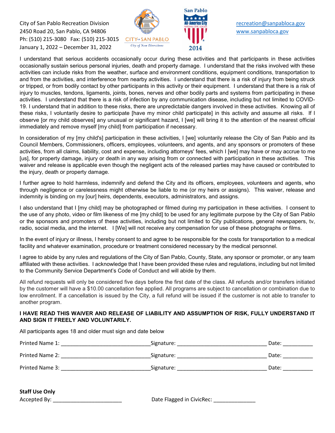City of San Pablo Recreation Division **Recreation City of San Pablo Recreation** Division **Recreation Recreation Recreation Recreation Recreation Recreation Recreation Recreation Recreation Recreation Re** 2450 Road 20, San Pablo, CA 94806 [www.sanpabloca.gov](http://www.sanpabloca.gov/)  Ph: (510) 215-3080 Fax: (510) 215-3015 January 1, 2022 – December 31, 2022





I understand that serious accidents occasionally occur during these activities and that participants in these activities occasionally sustain serious personal injuries, death and property damage. I understand that the risks involved with these activities can include risks from the weather, surface and environment conditions, equipment conditions, transportation to and from the activities, and interference from nearby activities. I understand that there is a risk of injury from being struck or tripped, or from bodily contact by other participants in this activity or their equipment. I understand that there is a risk of injury to muscles, tendons, ligaments, joints, bones, nerves and other bodily parts and systems from participating in these activities. I understand that there is a risk of infection by any communication disease, including but not limited to COVID-19. I understand that in addition to these risks, there are unpredictable dangers involved in these activities. Knowing all of these risks, I voluntarily desire to participate [have my minor child participate] in this activity and assume all risks. If I observe [or my child observes] any unusual or significant hazard, I [we] will bring it to the attention of the nearest official immediately and remove myself [my child] from participation if necessary.

In consideration of my [my child's] participation in these activities, I [we] voluntarily release the City of San Pablo and its Council Members, Commissioners, officers, employees, volunteers, and agents, and any sponsors or promoters of these activities, from all claims, liability, cost and expense, including attorneys' fees, which I [we] may have or may accrue to me [us], for property damage, injury or death in any way arising from or connected with participation in these activities. This waiver and release is applicable even though the negligent acts of the released parties may have caused or contributed to the injury, death or property damage.

I further agree to hold harmless, indemnify and defend the City and its officers, employees, volunteers and agents, who through negligence or carelessness might otherwise be liable to me (or my heirs or assigns). This waiver, release and indemnity is binding on my [our] heirs, dependents, executors, administrators, and assigns.

I also understand that I [my child] may be photographed or filmed during my participation in these activities. I consent to the use of any photo, video or film likeness of me [my child] to be used for any legitimate purpose by the City of San Pablo or the sponsors and promoters of these activities, including but not limited to City publications, general newspapers, tv, radio, social media, and the internet. I [We] will not receive any compensation for use of these photographs or films.

In the event of injury or illness, I hereby consent to and agree to be responsible for the costs for transportation to a medical facility and whatever examination, procedure or treatment considered necessary by the medical personnel.

I agree to abide by any rules and regulations of the City of San Pablo, County, State, any sponsor or promoter, or any team affiliated with these activities. I acknowledge that I have been provided these rules and regulations, including but not limited to the Community Service Department's Code of Conduct and will abide by them.

All refund requests will only be considered five days before the first date of the class. All refunds and/or transfers initiated by the customer will have a \$10.00 cancellation fee applied. All programs are subject to cancellation or combination due to low enrollment. If a cancellation is issued by the City, a full refund will be issued if the customer is not able to transfer to another program.

### **I HAVE READ THIS WAIVER AND RELEASE OF LIABILITY AND ASSUMPTION OF RISK, FULLY UNDERSTAND IT AND SIGN IT FREELY AND VOLUNTARILY.**

All participants ages 18 and older must sign and date below

| Printed Name 1: | Signature: | Date: |
|-----------------|------------|-------|
| Printed Name 2: | Signature: | Date: |
| Printed Name 3: | Signature: | Date: |

| <b>Staff Use Only</b> |                           |
|-----------------------|---------------------------|
| Accepted By:          | Date Flagged in CivicRec: |